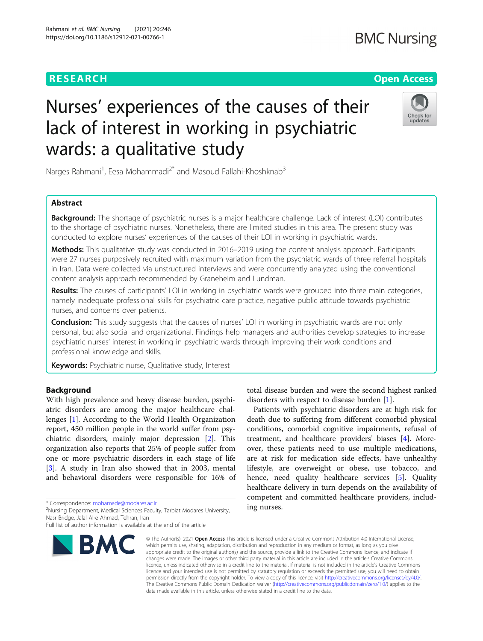# **RESEARCH CHINESE ARCH CHINESE ARCHITECT ARCHITECT ARCHITECT ARCHITECT ARCHITECT ARCHITECT ARCHITECT ARCHITECT ARCHITECT ARCHITECT ARCHITECT ARCHITECT ARCHITECT ARCHITECT ARCHITECT ARCHITECT ARCHITECT ARCHITECT ARCHITE**

# Nurses' experiences of the causes of their lack of interest in working in psychiatric wards: a qualitative study



Narges Rahmani<sup>1</sup>, Eesa Mohammadi<sup>2\*</sup> and Masoud Fallahi-Khoshknab<sup>3</sup>

# Abstract

Background: The shortage of psychiatric nurses is a major healthcare challenge. Lack of interest (LOI) contributes to the shortage of psychiatric nurses. Nonetheless, there are limited studies in this area. The present study was conducted to explore nurses' experiences of the causes of their LOI in working in psychiatric wards.

Methods: This qualitative study was conducted in 2016–2019 using the content analysis approach. Participants were 27 nurses purposively recruited with maximum variation from the psychiatric wards of three referral hospitals in Iran. Data were collected via unstructured interviews and were concurrently analyzed using the conventional content analysis approach recommended by Graneheim and Lundman.

Results: The causes of participants' LOI in working in psychiatric wards were grouped into three main categories, namely inadequate professional skills for psychiatric care practice, negative public attitude towards psychiatric nurses, and concerns over patients.

**Conclusion:** This study suggests that the causes of nurses' LOI in working in psychiatric wards are not only personal, but also social and organizational. Findings help managers and authorities develop strategies to increase psychiatric nurses' interest in working in psychiatric wards through improving their work conditions and professional knowledge and skills.

Keywords: Psychiatric nurse, Qualitative study, Interest

# Background

With high prevalence and heavy disease burden, psychiatric disorders are among the major healthcare challenges [[1](#page-7-0)]. According to the World Health Organization report, 450 million people in the world suffer from psychiatric disorders, mainly major depression [[2\]](#page-7-0). This organization also reports that 25% of people suffer from one or more psychiatric disorders in each stage of life [[3\]](#page-7-0). A study in Iran also showed that in 2003, mental and behavioral disorders were responsible for 16% of

\* Correspondence: [mohamade@modares.ac.ir](mailto:mohamade@modares.ac.ir) <sup>2</sup>

<sup>2</sup>Nursing Department, Medical Sciences Faculty, Tarbiat Modares University, Nasr Bridge, Jalal Al-e Ahmad, Tehran, Iran

Full list of author information is available at the end of the article



total disease burden and were the second highest ranked disorders with respect to disease burden [[1\]](#page-7-0).

Patients with psychiatric disorders are at high risk for death due to suffering from different comorbid physical conditions, comorbid cognitive impairments, refusal of treatment, and healthcare providers' biases [\[4](#page-7-0)]. Moreover, these patients need to use multiple medications, are at risk for medication side effects, have unhealthy lifestyle, are overweight or obese, use tobacco, and hence, need quality healthcare services [[5\]](#page-7-0). Quality healthcare delivery in turn depends on the availability of competent and committed healthcare providers, including nurses.

© The Author(s), 2021 **Open Access** This article is licensed under a Creative Commons Attribution 4.0 International License, which permits use, sharing, adaptation, distribution and reproduction in any medium or format, as long as you give appropriate credit to the original author(s) and the source, provide a link to the Creative Commons licence, and indicate if changes were made. The images or other third party material in this article are included in the article's Creative Commons licence, unless indicated otherwise in a credit line to the material. If material is not included in the article's Creative Commons licence and your intended use is not permitted by statutory regulation or exceeds the permitted use, you will need to obtain permission directly from the copyright holder. To view a copy of this licence, visit [http://creativecommons.org/licenses/by/4.0/.](http://creativecommons.org/licenses/by/4.0/) The Creative Commons Public Domain Dedication waiver [\(http://creativecommons.org/publicdomain/zero/1.0/](http://creativecommons.org/publicdomain/zero/1.0/)) applies to the data made available in this article, unless otherwise stated in a credit line to the data.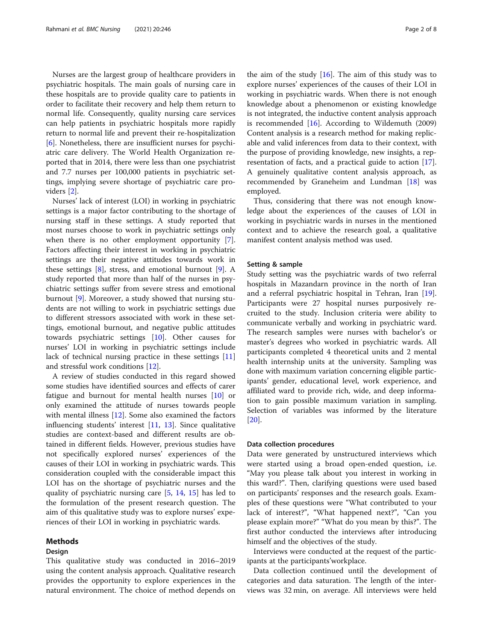Nurses are the largest group of healthcare providers in psychiatric hospitals. The main goals of nursing care in these hospitals are to provide quality care to patients in order to facilitate their recovery and help them return to normal life. Consequently, quality nursing care services can help patients in psychiatric hospitals more rapidly return to normal life and prevent their re-hospitalization [[6\]](#page-7-0). Nonetheless, there are insufficient nurses for psychiatric care delivery. The World Health Organization reported that in 2014, there were less than one psychiatrist and 7.7 nurses per 100,000 patients in psychiatric settings, implying severe shortage of psychiatric care providers [[2\]](#page-7-0).

Nurses' lack of interest (LOI) in working in psychiatric settings is a major factor contributing to the shortage of nursing staff in these settings. A study reported that most nurses choose to work in psychiatric settings only when there is no other employment opportunity [\[7](#page-7-0)]. Factors affecting their interest in working in psychiatric settings are their negative attitudes towards work in these settings [\[8](#page-7-0)], stress, and emotional burnout [\[9\]](#page-7-0). A study reported that more than half of the nurses in psychiatric settings suffer from severe stress and emotional burnout [\[9](#page-7-0)]. Moreover, a study showed that nursing students are not willing to work in psychiatric settings due to different stressors associated with work in these settings, emotional burnout, and negative public attitudes towards psychiatric settings [\[10](#page-7-0)]. Other causes for nurses' LOI in working in psychiatric settings include lack of technical nursing practice in these settings [[11](#page-7-0)] and stressful work conditions [\[12](#page-7-0)].

A review of studies conducted in this regard showed some studies have identified sources and effects of carer fatigue and burnout for mental health nurses [[10](#page-7-0)] or only examined the attitude of nurses towards people with mental illness [[12\]](#page-7-0). Some also examined the factors influencing students' interest [[11,](#page-7-0) [13](#page-7-0)]. Since qualitative studies are context-based and different results are obtained in different fields. However, previous studies have not specifically explored nurses' experiences of the causes of their LOI in working in psychiatric wards. This consideration coupled with the considerable impact this LOI has on the shortage of psychiatric nurses and the quality of psychiatric nursing care [[5,](#page-7-0) [14](#page-7-0), [15](#page-7-0)] has led to the formulation of the present research question. The aim of this qualitative study was to explore nurses' experiences of their LOI in working in psychiatric wards.

#### Methods

# Design

This qualitative study was conducted in 2016–2019 using the content analysis approach. Qualitative research provides the opportunity to explore experiences in the natural environment. The choice of method depends on

the aim of the study  $[16]$  $[16]$  $[16]$ . The aim of this study was to explore nurses' experiences of the causes of their LOI in working in psychiatric wards. When there is not enough knowledge about a phenomenon or existing knowledge is not integrated, the inductive content analysis approach is recommended  $[16]$  $[16]$ . According to Wildemuth (2009) Content analysis is a research method for making replicable and valid inferences from data to their context, with the purpose of providing knowledge, new insights, a representation of facts, and a practical guide to action [\[17](#page-7-0)]. A genuinely qualitative content analysis approach, as recommended by Graneheim and Lundman [[18\]](#page-7-0) was employed.

Thus, considering that there was not enough knowledge about the experiences of the causes of LOI in working in psychiatric wards in nurses in the mentioned context and to achieve the research goal, a qualitative manifest content analysis method was used.

#### Setting & sample

Study setting was the psychiatric wards of two referral hospitals in Mazandarn province in the north of Iran and a referral psychiatric hospital in Tehran, Iran [\[19](#page-7-0)]. Participants were 27 hospital nurses purposively recruited to the study. Inclusion criteria were ability to communicate verbally and working in psychiatric ward. The research samples were nurses with bachelor's or master's degrees who worked in psychiatric wards. All participants completed 4 theoretical units and 2 mental health internship units at the university. Sampling was done with maximum variation concerning eligible participants' gender, educational level, work experience, and affiliated ward to provide rich, wide, and deep information to gain possible maximum variation in sampling. Selection of variables was informed by the literature [[20\]](#page-7-0).

### Data collection procedures

Data were generated by unstructured interviews which were started using a broad open-ended question, i.e. "May you please talk about you interest in working in this ward?". Then, clarifying questions were used based on participants' responses and the research goals. Examples of these questions were "What contributed to your lack of interest?", "What happened next?", "Can you please explain more?" "What do you mean by this?". The first author conducted the interviews after introducing himself and the objectives of the study.

Interviews were conducted at the request of the participants at the participants'workplace.

Data collection continued until the development of categories and data saturation. The length of the interviews was 32 min, on average. All interviews were held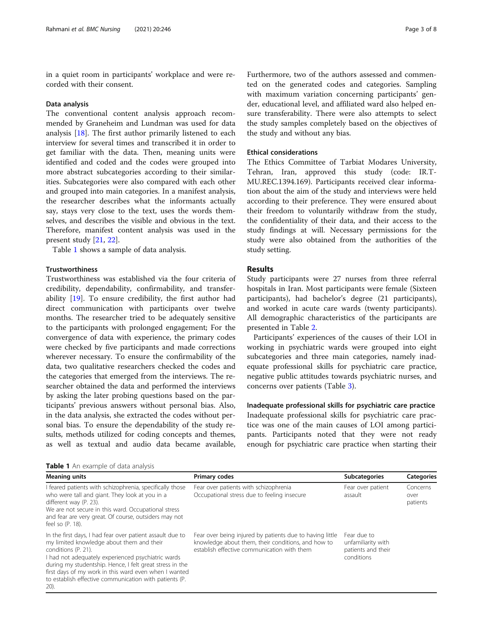in a quiet room in participants' workplace and were recorded with their consent.

#### Data analysis

The conventional content analysis approach recommended by Graneheim and Lundman was used for data analysis [[18\]](#page-7-0). The first author primarily listened to each interview for several times and transcribed it in order to get familiar with the data. Then, meaning units were identified and coded and the codes were grouped into more abstract subcategories according to their similarities. Subcategories were also compared with each other and grouped into main categories. In a manifest analysis, the researcher describes what the informants actually say, stays very close to the text, uses the words themselves, and describes the visible and obvious in the text. Therefore, manifest content analysis was used in the present study [[21,](#page-7-0) [22](#page-7-0)].

Table 1 shows a sample of data analysis.

# Trustworthiness

Trustworthiness was established via the four criteria of credibility, dependability, confirmability, and transferability [\[19](#page-7-0)]. To ensure credibility, the first author had direct communication with participants over twelve months. The researcher tried to be adequately sensitive to the participants with prolonged engagement; For the convergence of data with experience, the primary codes were checked by five participants and made corrections wherever necessary. To ensure the confirmability of the data, two qualitative researchers checked the codes and the categories that emerged from the interviews. The researcher obtained the data and performed the interviews by asking the later probing questions based on the participants' previous answers without personal bias. Also, in the data analysis, she extracted the codes without personal bias. To ensure the dependability of the study results, methods utilized for coding concepts and themes, as well as textual and audio data became available,

Table 1 An example of data analysis

Furthermore, two of the authors assessed and commented on the generated codes and categories. Sampling with maximum variation concerning participants' gender, educational level, and affiliated ward also helped ensure transferability. There were also attempts to select the study samples completely based on the objectives of the study and without any bias.

### Ethical considerations

The Ethics Committee of Tarbiat Modares University, Tehran, Iran, approved this study (code: IR.T-MU.REC.1394.169). Participants received clear information about the aim of the study and interviews were held according to their preference. They were ensured about their freedom to voluntarily withdraw from the study, the confidentiality of their data, and their access to the study findings at will. Necessary permissions for the study were also obtained from the authorities of the study setting.

# Results

Study participants were 27 nurses from three referral hospitals in Iran. Most participants were female (Sixteen participants), had bachelor's degree (21 participants), and worked in acute care wards (twenty participants). All demographic characteristics of the participants are presented in Table [2](#page-3-0).

Participants' experiences of the causes of their LOI in working in psychiatric wards were grouped into eight subcategories and three main categories, namely inadequate professional skills for psychiatric care practice, negative public attitudes towards psychiatric nurses, and concerns over patients (Table [3\)](#page-3-0).

Inadequate professional skills for psychiatric care practice Inadequate professional skills for psychiatric care practice was one of the main causes of LOI among participants. Participants noted that they were not ready enough for psychiatric care practice when starting their

| <b>Meaning units</b>                                                                                                                                                                                                                                                                                                                                                          | <b>Primary codes</b>                                                                                                                                          | <b>Subcategories</b>                                                  | <b>Categories</b>            |  |
|-------------------------------------------------------------------------------------------------------------------------------------------------------------------------------------------------------------------------------------------------------------------------------------------------------------------------------------------------------------------------------|---------------------------------------------------------------------------------------------------------------------------------------------------------------|-----------------------------------------------------------------------|------------------------------|--|
| I feared patients with schizophrenia, specifically those<br>who were tall and giant. They look at you in a<br>different way (P. 23).<br>We are not secure in this ward. Occupational stress<br>and fear are very great. Of course, outsiders may not<br>feel so (P. 18).                                                                                                      | Fear over patients with schizophrenia<br>Occupational stress due to feeling insecure                                                                          | Fear over patient<br>assault                                          | Concerns<br>over<br>patients |  |
| In the first days, I had fear over patient assault due to<br>my limited knowledge about them and their<br>conditions (P. 21).<br>I had not adequately experienced psychiatric wards<br>during my studentship. Hence, I felt great stress in the<br>first days of my work in this ward even when I wanted<br>to establish effective communication with patients (P.<br>$20)$ . | Fear over being injured by patients due to having little<br>knowledge about them, their conditions, and how to<br>establish effective communication with them | Fear due to<br>unfamiliarity with<br>patients and their<br>conditions |                              |  |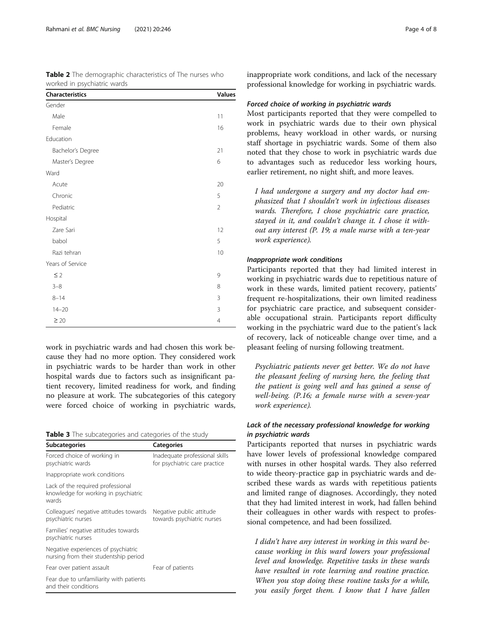| <i>vvornea in psycritatile vvarus</i> |                |  |
|---------------------------------------|----------------|--|
| Characteristics                       | Values         |  |
| Gender                                |                |  |
| Male                                  | 11             |  |
| Female                                | 16             |  |
| Education                             |                |  |
| Bachelor's Degree                     | 21             |  |
| Master's Degree                       | 6              |  |
| Ward                                  |                |  |
| Acute                                 | 20             |  |
| Chronic                               | 5              |  |
| Pediatric                             | $\overline{2}$ |  |
| Hospital                              |                |  |
| Zare Sari                             | 12             |  |
| babol                                 | 5              |  |
| Razi tehran                           | 10             |  |
| Years of Service                      |                |  |
| $\leq$ 2                              | 9              |  |
| $3 - 8$                               | 8              |  |
| $8 - 14$                              | 3              |  |
| $14 - 20$                             | $\overline{3}$ |  |
| $\geq 20$                             | $\overline{4}$ |  |

<span id="page-3-0"></span>Table 2 The demographic characteristics of The nurses who worked in psychiatric wards

work in psychiatric wards and had chosen this work because they had no more option. They considered work in psychiatric wards to be harder than work in other hospital wards due to factors such as insignificant patient recovery, limited readiness for work, and finding no pleasure at work. The subcategories of this category were forced choice of working in psychiatric wards,

Table 3 The subcategories and categories of the study

| <b>Subcategories</b>                                                               | <b>Categories</b>                                               |  |
|------------------------------------------------------------------------------------|-----------------------------------------------------------------|--|
| Forced choice of working in<br>psychiatric wards                                   | Inadequate professional skills<br>for psychiatric care practice |  |
| Inappropriate work conditions                                                      |                                                                 |  |
| Lack of the required professional<br>knowledge for working in psychiatric<br>wards |                                                                 |  |
| Colleagues' negative attitudes towards<br>psychiatric nurses                       | Negative public attitude<br>towards psychiatric nurses          |  |
| Families' negative attitudes towards<br>psychiatric nurses                         |                                                                 |  |
| Negative experiences of psychiatric<br>nursing from their studentship period       |                                                                 |  |
| Fear over patient assault                                                          | Fear of patients                                                |  |
| Fear due to unfamiliarity with patients<br>and their conditions                    |                                                                 |  |

inappropriate work conditions, and lack of the necessary professional knowledge for working in psychiatric wards.

#### Forced choice of working in psychiatric wards

Most participants reported that they were compelled to work in psychiatric wards due to their own physical problems, heavy workload in other wards, or nursing staff shortage in psychiatric wards. Some of them also noted that they chose to work in psychiatric wards due to advantages such as reducedor less working hours, earlier retirement, no night shift, and more leaves.

I had undergone a surgery and my doctor had emphasized that I shouldn't work in infectious diseases wards. Therefore, I chose psychiatric care practice, stayed in it, and couldn't change it. I chose it without any interest (P. 19; a male nurse with a ten-year work experience).

# Inappropriate work conditions

Participants reported that they had limited interest in working in psychiatric wards due to repetitious nature of work in these wards, limited patient recovery, patients' frequent re-hospitalizations, their own limited readiness for psychiatric care practice, and subsequent considerable occupational strain. Participants report difficulty working in the psychiatric ward due to the patient's lack of recovery, lack of noticeable change over time, and a pleasant feeling of nursing following treatment.

Psychiatric patients never get better. We do not have the pleasant feeling of nursing here, the feeling that the patient is going well and has gained a sense of well-being. (P.16; a female nurse with a seven-year work experience).

# Lack of the necessary professional knowledge for working in psychiatric wards

Participants reported that nurses in psychiatric wards have lower levels of professional knowledge compared with nurses in other hospital wards. They also referred to wide theory-practice gap in psychiatric wards and described these wards as wards with repetitious patients and limited range of diagnoses. Accordingly, they noted that they had limited interest in work, had fallen behind their colleagues in other wards with respect to professional competence, and had been fossilized.

I didn't have any interest in working in this ward because working in this ward lowers your professional level and knowledge. Repetitive tasks in these wards have resulted in rote learning and routine practice. When you stop doing these routine tasks for a while, you easily forget them. I know that I have fallen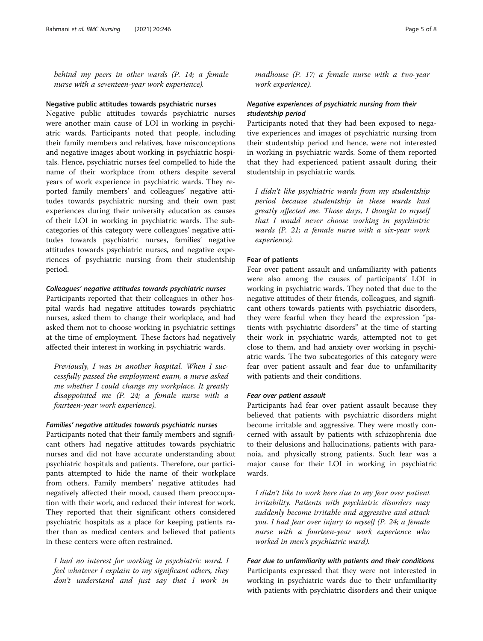behind my peers in other wards (P. 14; a female nurse with a seventeen-year work experience).

#### Negative public attitudes towards psychiatric nurses

Negative public attitudes towards psychiatric nurses were another main cause of LOI in working in psychiatric wards. Participants noted that people, including their family members and relatives, have misconceptions and negative images about working in psychiatric hospitals. Hence, psychiatric nurses feel compelled to hide the name of their workplace from others despite several years of work experience in psychiatric wards. They reported family members' and colleagues' negative attitudes towards psychiatric nursing and their own past experiences during their university education as causes of their LOI in working in psychiatric wards. The subcategories of this category were colleagues' negative attitudes towards psychiatric nurses, families' negative attitudes towards psychiatric nurses, and negative experiences of psychiatric nursing from their studentship period.

# Colleagues' negative attitudes towards psychiatric nurses

Participants reported that their colleagues in other hospital wards had negative attitudes towards psychiatric nurses, asked them to change their workplace, and had asked them not to choose working in psychiatric settings at the time of employment. These factors had negatively affected their interest in working in psychiatric wards.

Previously, I was in another hospital. When I successfully passed the employment exam, a nurse asked me whether I could change my workplace. It greatly disappointed me (P. 24; a female nurse with a fourteen-year work experience).

# Families' negative attitudes towards psychiatric nurses

Participants noted that their family members and significant others had negative attitudes towards psychiatric nurses and did not have accurate understanding about psychiatric hospitals and patients. Therefore, our participants attempted to hide the name of their workplace from others. Family members' negative attitudes had negatively affected their mood, caused them preoccupation with their work, and reduced their interest for work. They reported that their significant others considered psychiatric hospitals as a place for keeping patients rather than as medical centers and believed that patients in these centers were often restrained.

I had no interest for working in psychiatric ward. I feel whatever I explain to my significant others, they don't understand and just say that I work in

madhouse (P. 17; a female nurse with a two-year work experience).

# Negative experiences of psychiatric nursing from their studentship period

Participants noted that they had been exposed to negative experiences and images of psychiatric nursing from their studentship period and hence, were not interested in working in psychiatric wards. Some of them reported that they had experienced patient assault during their studentship in psychiatric wards.

I didn't like psychiatric wards from my studentship period because studentship in these wards had greatly affected me. Those days, I thought to myself that I would never choose working in psychiatric wards (P. 21; a female nurse with a six-year work experience).

### Fear of patients

Fear over patient assault and unfamiliarity with patients were also among the causes of participants' LOI in working in psychiatric wards. They noted that due to the negative attitudes of their friends, colleagues, and significant others towards patients with psychiatric disorders, they were fearful when they heard the expression "patients with psychiatric disorders" at the time of starting their work in psychiatric wards, attempted not to get close to them, and had anxiety over working in psychiatric wards. The two subcategories of this category were fear over patient assault and fear due to unfamiliarity with patients and their conditions.

#### Fear over patient assault

Participants had fear over patient assault because they believed that patients with psychiatric disorders might become irritable and aggressive. They were mostly concerned with assault by patients with schizophrenia due to their delusions and hallucinations, patients with paranoia, and physically strong patients. Such fear was a major cause for their LOI in working in psychiatric wards.

I didn't like to work here due to my fear over patient irritability. Patients with psychiatric disorders may suddenly become irritable and aggressive and attack you. I had fear over injury to myself (P. 24; a female nurse with a fourteen-year work experience who worked in men's psychiatric ward).

Fear due to unfamiliarity with patients and their conditions Participants expressed that they were not interested in working in psychiatric wards due to their unfamiliarity with patients with psychiatric disorders and their unique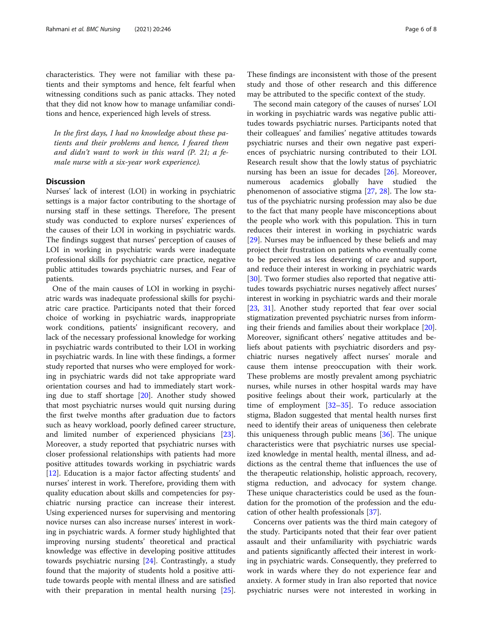characteristics. They were not familiar with these patients and their symptoms and hence, felt fearful when witnessing conditions such as panic attacks. They noted that they did not know how to manage unfamiliar conditions and hence, experienced high levels of stress.

In the first days, I had no knowledge about these patients and their problems and hence, I feared them and didn't want to work in this ward (P. 21; a female nurse with a six-year work experience).

# **Discussion**

Nurses' lack of interest (LOI) in working in psychiatric settings is a major factor contributing to the shortage of nursing staff in these settings. Therefore, The present study was conducted to explore nurses' experiences of the causes of their LOI in working in psychiatric wards. The findings suggest that nurses' perception of causes of LOI in working in psychiatric wards were inadequate professional skills for psychiatric care practice, negative public attitudes towards psychiatric nurses, and Fear of patients.

One of the main causes of LOI in working in psychiatric wards was inadequate professional skills for psychiatric care practice. Participants noted that their forced choice of working in psychiatric wards, inappropriate work conditions, patients' insignificant recovery, and lack of the necessary professional knowledge for working in psychiatric wards contributed to their LOI in working in psychiatric wards. In line with these findings, a former study reported that nurses who were employed for working in psychiatric wards did not take appropriate ward orientation courses and had to immediately start working due to staff shortage [\[20](#page-7-0)]. Another study showed that most psychiatric nurses would quit nursing during the first twelve months after graduation due to factors such as heavy workload, poorly defined career structure, and limited number of experienced physicians [\[23](#page-7-0)]. Moreover, a study reported that psychiatric nurses with closer professional relationships with patients had more positive attitudes towards working in psychiatric wards [[12\]](#page-7-0). Education is a major factor affecting students' and nurses' interest in work. Therefore, providing them with quality education about skills and competencies for psychiatric nursing practice can increase their interest. Using experienced nurses for supervising and mentoring novice nurses can also increase nurses' interest in working in psychiatric wards. A former study highlighted that improving nursing students' theoretical and practical knowledge was effective in developing positive attitudes towards psychiatric nursing [\[24](#page-7-0)]. Contrastingly, a study found that the majority of students hold a positive attitude towards people with mental illness and are satisfied with their preparation in mental health nursing [\[25](#page-7-0)].

These findings are inconsistent with those of the present study and those of other research and this difference may be attributed to the specific context of the study.

The second main category of the causes of nurses' LOI in working in psychiatric wards was negative public attitudes towards psychiatric nurses. Participants noted that their colleagues' and families' negative attitudes towards psychiatric nurses and their own negative past experiences of psychiatric nursing contributed to their LOI. Research result show that the lowly status of psychiatric nursing has been an issue for decades [[26\]](#page-7-0). Moreover, numerous academics globally have studied the phenomenon of associative stigma [[27,](#page-7-0) [28\]](#page-7-0). The low status of the psychiatric nursing profession may also be due to the fact that many people have misconceptions about the people who work with this population. This in turn reduces their interest in working in psychiatric wards [[29\]](#page-7-0). Nurses may be influenced by these beliefs and may project their frustration on patients who eventually come to be perceived as less deserving of care and support, and reduce their interest in working in psychiatric wards [[30\]](#page-7-0). Two former studies also reported that negative attitudes towards psychiatric nurses negatively affect nurses' interest in working in psychiatric wards and their morale [[23,](#page-7-0) [31\]](#page-7-0). Another study reported that fear over social stigmatization prevented psychiatric nurses from informing their friends and families about their workplace [\[20](#page-7-0)]. Moreover, significant others' negative attitudes and beliefs about patients with psychiatric disorders and psychiatric nurses negatively affect nurses' morale and cause them intense preoccupation with their work. These problems are mostly prevalent among psychiatric nurses, while nurses in other hospital wards may have positive feelings about their work, particularly at the time of employment  $[32-35]$  $[32-35]$  $[32-35]$  $[32-35]$  $[32-35]$ . To reduce association stigma, Bladon suggested that mental health nurses first need to identify their areas of uniqueness then celebrate this uniqueness through public means [\[36](#page-7-0)]. The unique characteristics were that psychiatric nurses use specialized knowledge in mental health, mental illness, and addictions as the central theme that influences the use of the therapeutic relationship, holistic approach, recovery, stigma reduction, and advocacy for system change. These unique characteristics could be used as the foundation for the promotion of the profession and the education of other health professionals [\[37\]](#page-7-0).

Concerns over patients was the third main category of the study. Participants noted that their fear over patient assault and their unfamiliarity with psychiatric wards and patients significantly affected their interest in working in psychiatric wards. Consequently, they preferred to work in wards where they do not experience fear and anxiety. A former study in Iran also reported that novice psychiatric nurses were not interested in working in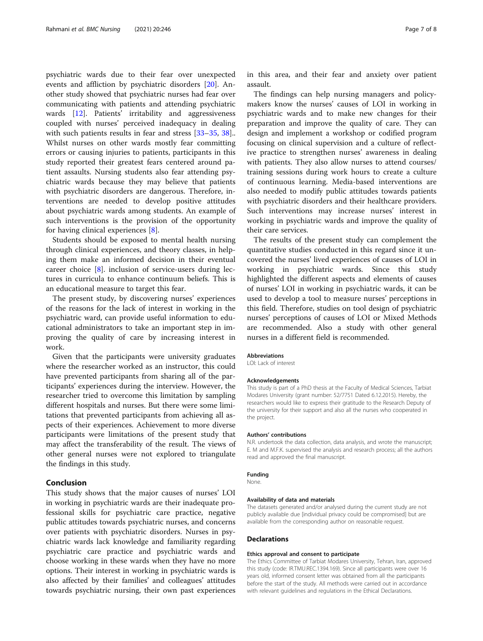psychiatric wards due to their fear over unexpected events and affliction by psychiatric disorders [[20\]](#page-7-0). Another study showed that psychiatric nurses had fear over communicating with patients and attending psychiatric wards [[12](#page-7-0)]. Patients' irritability and aggressiveness coupled with nurses' perceived inadequacy in dealing with such patients results in fear and stress [\[33](#page-7-0)–[35,](#page-7-0) [38](#page-7-0)].. Whilst nurses on other wards mostly fear committing errors or causing injuries to patients, participants in this study reported their greatest fears centered around patient assaults. Nursing students also fear attending psychiatric wards because they may believe that patients with psychiatric disorders are dangerous. Therefore, interventions are needed to develop positive attitudes about psychiatric wards among students. An example of such interventions is the provision of the opportunity for having clinical experiences [\[8](#page-7-0)].

Students should be exposed to mental health nursing through clinical experiences, and theory classes, in helping them make an informed decision in their eventual career choice [[8](#page-7-0)]. inclusion of service-users during lectures in curricula to enhance continuum beliefs. This is an educational measure to target this fear.

The present study, by discovering nurses' experiences of the reasons for the lack of interest in working in the psychiatric ward, can provide useful information to educational administrators to take an important step in improving the quality of care by increasing interest in work.

Given that the participants were university graduates where the researcher worked as an instructor, this could have prevented participants from sharing all of the participants' experiences during the interview. However, the researcher tried to overcome this limitation by sampling different hospitals and nurses. But there were some limitations that prevented participants from achieving all aspects of their experiences. Achievement to more diverse participants were limitations of the present study that may affect the transferability of the result. The views of other general nurses were not explored to triangulate the findings in this study.

# Conclusion

This study shows that the major causes of nurses' LOI in working in psychiatric wards are their inadequate professional skills for psychiatric care practice, negative public attitudes towards psychiatric nurses, and concerns over patients with psychiatric disorders. Nurses in psychiatric wards lack knowledge and familiarity regarding psychiatric care practice and psychiatric wards and choose working in these wards when they have no more options. Their interest in working in psychiatric wards is also affected by their families' and colleagues' attitudes towards psychiatric nursing, their own past experiences

in this area, and their fear and anxiety over patient assault.

The findings can help nursing managers and policymakers know the nurses' causes of LOI in working in psychiatric wards and to make new changes for their preparation and improve the quality of care. They can design and implement a workshop or codified program focusing on clinical supervision and a culture of reflective practice to strengthen nurses' awareness in dealing with patients. They also allow nurses to attend courses/ training sessions during work hours to create a culture of continuous learning. Media-based interventions are also needed to modify public attitudes towards patients with psychiatric disorders and their healthcare providers. Such interventions may increase nurses' interest in working in psychiatric wards and improve the quality of their care services.

The results of the present study can complement the quantitative studies conducted in this regard since it uncovered the nurses' lived experiences of causes of LOI in working in psychiatric wards. Since this study highlighted the different aspects and elements of causes of nurses' LOI in working in psychiatric wards, it can be used to develop a tool to measure nurses' perceptions in this field. Therefore, studies on tool design of psychiatric nurses' perceptions of causes of LOI or Mixed Methods are recommended. Also a study with other general nurses in a different field is recommended.

#### Abbreviations

LOI: Lack of interest

#### Acknowledgements

This study is part of a PhD thesis at the Faculty of Medical Sciences, Tarbiat Modares University (grant number: 52/7751 Dated 6.12.2015). Hereby, the researchers would like to express their gratitude to the Research Deputy of the university for their support and also all the nurses who cooperated in the project.

#### Authors' contributions

N.R. undertook the data collection, data analysis, and wrote the manuscript; E. M and M.F.K. supervised the analysis and research process; all the authors read and approved the final manuscript.

#### Funding

None.

#### Availability of data and materials

The datasets generated and/or analysed during the current study are not publicly available due [individual privacy could be compromised] but are available from the corresponding author on reasonable request.

#### Declarations

#### Ethics approval and consent to participate

The Ethics Committee of Tarbiat Modares University, Tehran, Iran, approved this study (code: IR.TMU.REC.1394.169). Since all participants were over 16 years old, informed consent letter was obtained from all the participants before the start of the study. All methods were carried out in accordance with relevant guidelines and regulations in the Ethical Declarations.